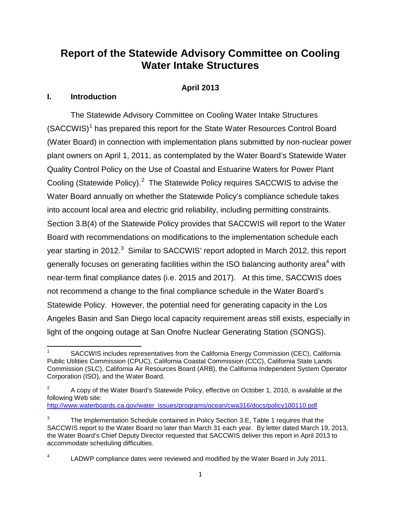# **Report of the Statewide Advisory Committee on Cooling Water Intake Structures**

## **April 2013**

## **I. Introduction**

The Statewide Advisory Committee on Cooling Water Intake Structures (SACCWIS)<sup>[1](#page-0-0)</sup> has prepared this report for the State Water Resources Control Board (Water Board) in connection with implementation plans submitted by non-nuclear power plant owners on April 1, 2011, as contemplated by the Water Board's Statewide Water Quality Control Policy on the Use of Coastal and Estuarine Waters for Power Plant Cooling (Statewide Policy).<sup>[2](#page-0-1)</sup> The Statewide Policy requires SACCWIS to advise the Water Board annually on whether the Statewide Policy's compliance schedule takes into account local area and electric grid reliability, including permitting constraints. Section 3.B(4) of the Statewide Policy provides that SACCWIS will report to the Water Board with recommendations on modifications to the implementation schedule each year starting in 2012. $^3$  $^3$  Similar to SACCWIS' report adopted in March 2012, this report generally focuses on generating facilities within the ISO balancing authority area<sup>[4](#page-0-3)</sup> with near-term final compliance dates (i.e. 2015 and 2017). At this time, SACCWIS does not recommend a change to the final compliance schedule in the Water Board's Statewide Policy. However, the potential need for generating capacity in the Los Angeles Basin and San Diego local capacity requirement areas still exists, especially in light of the ongoing outage at San Onofre Nuclear Generating Station (SONGS).

[http://www.waterboards.ca.gov/water\\_issues/programs/ocean/cwa316/docs/policy100110.pdf](http://www.waterboards.ca.gov/water_issues/programs/ocean/cwa316/docs/policy100110.pdf)

<span id="page-0-0"></span>SACCWIS includes representatives from the California Energy Commission (CEC), California Public Utilities Commission (CPUC), California Coastal Commission (CCC), California State Lands Commission (SLC), California Air Resources Board (ARB), the California Independent System Operator Corporation (ISO), and the Water Board.

<span id="page-0-1"></span> $2^2$  A copy of the Water Board's Statewide Policy, effective on October 1, 2010, is available at the following Web site:

<span id="page-0-2"></span><sup>3</sup> The Implementation Schedule contained in Policy Section 3.E, Table 1 requires that the SACCWIS report to the Water Board no later than March 31 each year. By letter dated March 19, 2013, the Water Board's Chief Deputy Director requested that SACCWIS deliver this report in April 2013 to accommodate scheduling difficulties.

<span id="page-0-3"></span>LADWP compliance dates were reviewed and modified by the Water Board in July 2011.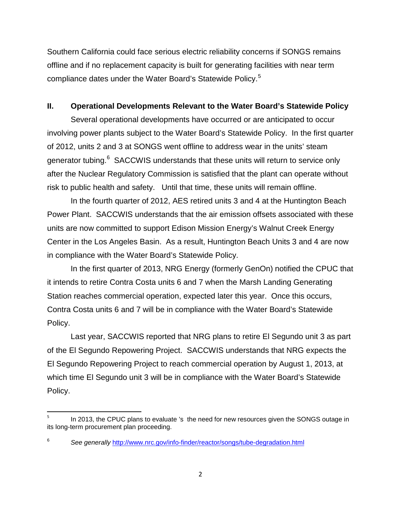Southern California could face serious electric reliability concerns if SONGS remains offline and if no replacement capacity is built for generating facilities with near term compliance dates under the Water Board's Statewide Policy. [5](#page-1-0)

## **II. Operational Developments Relevant to the Water Board's Statewide Policy**

Several operational developments have occurred or are anticipated to occur involving power plants subject to the Water Board's Statewide Policy. In the first quarter of 2012, units 2 and 3 at SONGS went offline to address wear in the units' steam generator tubing.<sup>[6](#page-1-1)</sup> SACCWIS understands that these units will return to service only after the Nuclear Regulatory Commission is satisfied that the plant can operate without risk to public health and safety. Until that time, these units will remain offline.

In the fourth quarter of 2012, AES retired units 3 and 4 at the Huntington Beach Power Plant. SACCWIS understands that the air emission offsets associated with these units are now committed to support Edison Mission Energy's Walnut Creek Energy Center in the Los Angeles Basin. As a result, Huntington Beach Units 3 and 4 are now in compliance with the Water Board's Statewide Policy.

In the first quarter of 2013, NRG Energy (formerly GenOn) notified the CPUC that it intends to retire Contra Costa units 6 and 7 when the Marsh Landing Generating Station reaches commercial operation, expected later this year. Once this occurs, Contra Costa units 6 and 7 will be in compliance with the Water Board's Statewide Policy.

Last year, SACCWIS reported that NRG plans to retire El Segundo unit 3 as part of the El Segundo Repowering Project. SACCWIS understands that NRG expects the El Segundo Repowering Project to reach commercial operation by August 1, 2013, at which time El Segundo unit 3 will be in compliance with the Water Board's Statewide Policy.

<span id="page-1-0"></span>In 2013, the CPUC plans to evaluate 's the need for new resources given the SONGS outage in its long-term procurement plan proceeding.

<span id="page-1-1"></span><sup>6</sup> *See generally* <http://www.nrc.gov/info-finder/reactor/songs/tube-degradation.html>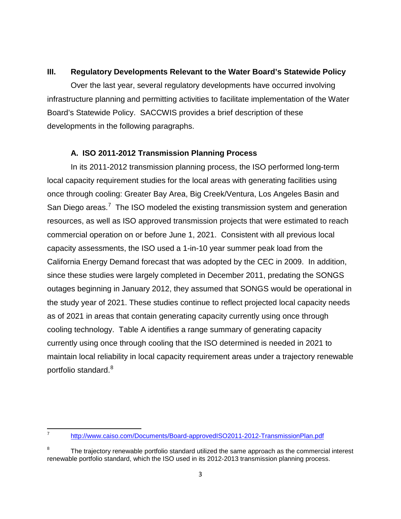# **III. Regulatory Developments Relevant to the Water Board's Statewide Policy**

Over the last year, several regulatory developments have occurred involving infrastructure planning and permitting activities to facilitate implementation of the Water Board's Statewide Policy. SACCWIS provides a brief description of these developments in the following paragraphs.

# **A. ISO 2011-2012 Transmission Planning Process**

In its 2011-2012 transmission planning process, the ISO performed long-term local capacity requirement studies for the local areas with generating facilities using once through cooling: Greater Bay Area, Big Creek/Ventura, Los Angeles Basin and San Diego areas.<sup>[7](#page-2-0)</sup> The ISO modeled the existing transmission system and generation resources, as well as ISO approved transmission projects that were estimated to reach commercial operation on or before June 1, 2021. Consistent with all previous local capacity assessments, the ISO used a 1-in-10 year summer peak load from the California Energy Demand forecast that was adopted by the CEC in 2009. In addition, since these studies were largely completed in December 2011, predating the SONGS outages beginning in January 2012, they assumed that SONGS would be operational in the study year of 2021. These studies continue to reflect projected local capacity needs as of 2021 in areas that contain generating capacity currently using once through cooling technology. Table A identifies a range summary of generating capacity currently using once through cooling that the ISO determined is needed in 2021 to maintain local reliability in local capacity requirement areas under a trajectory renewable portfolio standard.<sup>[8](#page-2-1)</sup>

<span id="page-2-0"></span><sup>7</sup> <http://www.caiso.com/Documents/Board-approvedISO2011-2012-TransmissionPlan.pdf>

<span id="page-2-1"></span> $8$  The trajectory renewable portfolio standard utilized the same approach as the commercial interest renewable portfolio standard, which the ISO used in its 2012-2013 transmission planning process.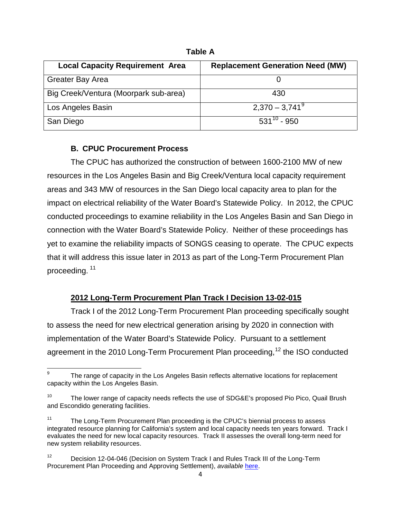| <b>Local Capacity Requirement Area</b> | <b>Replacement Generation Need (MW)</b> |
|----------------------------------------|-----------------------------------------|
| <b>Greater Bay Area</b>                |                                         |
| Big Creek/Ventura (Moorpark sub-area)  | 430                                     |
| Los Angeles Basin                      | $2,370 - 3,741^9$                       |
| San Diego                              | $531^{10} - 950$                        |

**Table A**

# **B. CPUC Procurement Process**

The CPUC has authorized the construction of between 1600-2100 MW of new resources in the Los Angeles Basin and Big Creek/Ventura local capacity requirement areas and 343 MW of resources in the San Diego local capacity area to plan for the impact on electrical reliability of the Water Board's Statewide Policy. In 2012, the CPUC conducted proceedings to examine reliability in the Los Angeles Basin and San Diego in connection with the Water Board's Statewide Policy. Neither of these proceedings has yet to examine the reliability impacts of SONGS ceasing to operate. The CPUC expects that it will address this issue later in 2013 as part of the Long-Term Procurement Plan proceeding. [11](#page-3-2)

# **2012 Long-Term Procurement Plan Track I Decision 13-02-015**

Track I of the 2012 Long-Term Procurement Plan proceeding specifically sought to assess the need for new electrical generation arising by 2020 in connection with implementation of the Water Board's Statewide Policy. Pursuant to a settlement agreement in the 2010 Long-Term Procurement Plan proceeding,<sup>[12](#page-3-3)</sup> the ISO conducted

<span id="page-3-0"></span>The range of capacity in the Los Angeles Basin reflects alternative locations for replacement capacity within the Los Angeles Basin.

<span id="page-3-1"></span><sup>&</sup>lt;sup>10</sup> The lower range of capacity needs reflects the use of SDG&E's proposed Pio Pico, Quail Brush and Escondido generating facilities.

<span id="page-3-2"></span>The Long-Term Procurement Plan proceeding is the CPUC's biennial process to assess integrated resource planning for California's system and local capacity needs ten years forward. Track I evaluates the need for new local capacity resources. Track II assesses the overall long-term need for new system reliability resources.

<span id="page-3-3"></span><sup>&</sup>lt;sup>12</sup> Decision 12-04-046 (Decision on System Track I and Rules Track III of the Long-Term Procurement Plan Proceeding and Approving Settlement), *available* [here.](http://docs.cpuc.ca.gov/PublishedDocs/WORD_PDF/FINAL_DECISION/164799.PDF)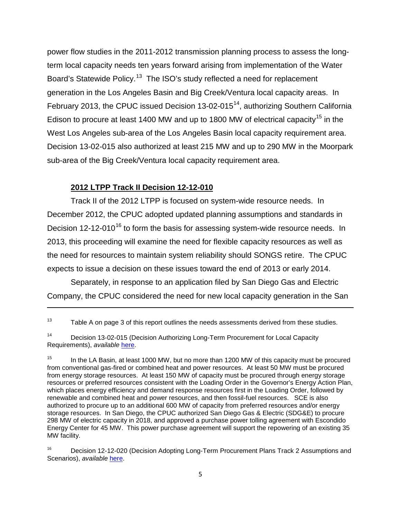power flow studies in the 2011-2012 transmission planning process to assess the longterm local capacity needs ten years forward arising from implementation of the Water Board's Statewide Policy.<sup>[13](#page-4-0)</sup> The ISO's study reflected a need for replacement generation in the Los Angeles Basin and Big Creek/Ventura local capacity areas. In February 2013, the CPUC issued Decision  $13{\text -}02{\text -}015^{14}$ , authorizing Southern California Edison to procure at least 1400 MW and up to 1800 MW of electrical capacity<sup>[15](#page-4-2)</sup> in the West Los Angeles sub-area of the Los Angeles Basin local capacity requirement area. Decision 13-02-015 also authorized at least 215 MW and up to 290 MW in the Moorpark sub-area of the Big Creek/Ventura local capacity requirement area.

## **2012 LTPP Track II Decision 12-12-010**

l

Track II of the 2012 LTPP is focused on system-wide resource needs. In December 2012, the CPUC adopted updated planning assumptions and standards in Decision 12-12-010<sup>[16](#page-4-3)</sup> to form the basis for assessing system-wide resource needs. In 2013, this proceeding will examine the need for flexible capacity resources as well as the need for resources to maintain system reliability should SONGS retire. The CPUC expects to issue a decision on these issues toward the end of 2013 or early 2014.

Separately, in response to an application filed by San Diego Gas and Electric Company, the CPUC considered the need for new local capacity generation in the San

<span id="page-4-0"></span> $13$  Table A on page 3 of this report outlines the needs assessments derived from these studies.

<span id="page-4-1"></span><sup>&</sup>lt;sup>14</sup> Decision 13-02-015 (Decision Authorizing Long-Term Procurement for Local Capacity Requirements), *available* [here.](http://docs.cpuc.ca.gov/PublishedDocs/Published/G000/M050/K374/50374520.PDF)

<span id="page-4-2"></span><sup>&</sup>lt;sup>15</sup> In the LA Basin, at least 1000 MW, but no more than 1200 MW of this capacity must be procured from conventional gas-fired or combined heat and power resources. At least 50 MW must be procured from energy storage resources. At least 150 MW of capacity must be procured through energy storage resources or preferred resources consistent with the Loading Order in the Governor's Energy Action Plan, which places energy efficiency and demand response resources first in the Loading Order, followed by renewable and combined heat and power resources, and then fossil-fuel resources. SCE is also authorized to procure up to an additional 600 MW of capacity from preferred resources and/or energy storage resources. In San Diego, the CPUC authorized San Diego Gas & Electric (SDG&E) to procure 298 MW of electric capacity in 2018, and approved a purchase power tolling agreement with Escondido Energy Center for 45 MW. This power purchase agreement will support the repowering of an existing 35 MW facility.

<span id="page-4-3"></span><sup>&</sup>lt;sup>16</sup> Decision 12-12-020 (Decision Adopting Long-Term Procurement Plans Track 2 Assumptions and Scenarios), *available* [here.](http://docs.cpuc.ca.gov/PublishedDocs/Published/G000/M040/K642/40642804.PDF)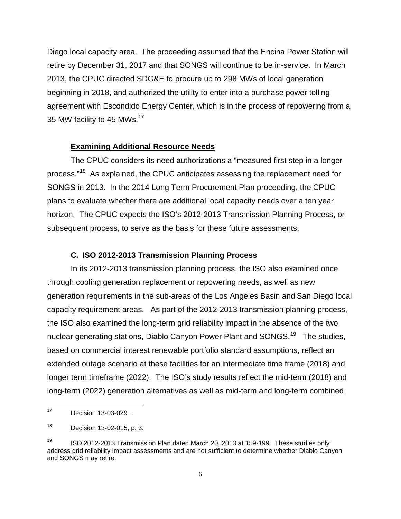Diego local capacity area. The proceeding assumed that the Encina Power Station will retire by December 31, 2017 and that SONGS will continue to be in-service. In March 2013, the CPUC directed SDG&E to procure up to 298 MWs of local generation beginning in 2018, and authorized the utility to enter into a purchase power tolling agreement with Escondido Energy Center, which is in the process of repowering from a 35 MW facility to 45 MWs.<sup>[17](#page-5-0)</sup>

## **Examining Additional Resource Needs**

The CPUC considers its need authorizations a "measured first step in a longer process."[18](#page-5-1) As explained, the CPUC anticipates assessing the replacement need for SONGS in 2013. In the 2014 Long Term Procurement Plan proceeding, the CPUC plans to evaluate whether there are additional local capacity needs over a ten year horizon. The CPUC expects the ISO's 2012-2013 Transmission Planning Process, or subsequent process, to serve as the basis for these future assessments.

## **C. ISO 2012-2013 Transmission Planning Process**

In its 2012-2013 transmission planning process, the ISO also examined once through cooling generation replacement or repowering needs, as well as new generation requirements in the sub-areas of the Los Angeles Basin and San Diego local capacity requirement areas. As part of the 2012-2013 transmission planning process, the ISO also examined the long-term grid reliability impact in the absence of the two nuclear generating stations, Diablo Canyon Power Plant and SONGS.<sup>[19](#page-5-2)</sup> The studies, based on commercial interest renewable portfolio standard assumptions, reflect an extended outage scenario at these facilities for an intermediate time frame (2018) and longer term timeframe (2022). The ISO's study results reflect the mid-term (2018) and long-term (2022) generation alternatives as well as mid-term and long-term combined

<span id="page-5-0"></span> $17$  Decision 13-03-029.

<span id="page-5-1"></span><sup>18</sup> Decision 13-02-015, p. 3.

<span id="page-5-2"></span><sup>&</sup>lt;sup>19</sup> ISO 2012-2013 Transmission Plan dated March 20, 2013 at 159-199. These studies only address grid reliability impact assessments and are not sufficient to determine whether Diablo Canyon and SONGS may retire.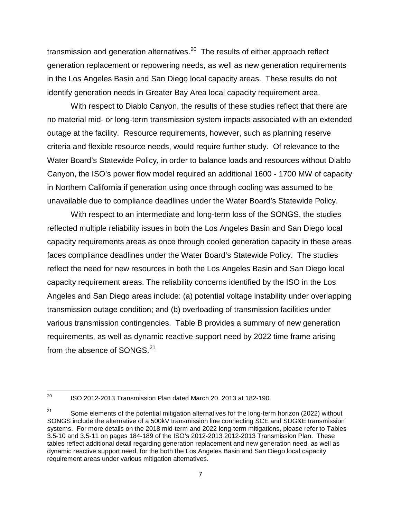transmission and generation alternatives.<sup>[20](#page-6-0)</sup> The results of either approach reflect generation replacement or repowering needs, as well as new generation requirements in the Los Angeles Basin and San Diego local capacity areas. These results do not identify generation needs in Greater Bay Area local capacity requirement area.

With respect to Diablo Canyon, the results of these studies reflect that there are no material mid- or long-term transmission system impacts associated with an extended outage at the facility. Resource requirements, however, such as planning reserve criteria and flexible resource needs, would require further study. Of relevance to the Water Board's Statewide Policy, in order to balance loads and resources without Diablo Canyon, the ISO's power flow model required an additional 1600 - 1700 MW of capacity in Northern California if generation using once through cooling was assumed to be unavailable due to compliance deadlines under the Water Board's Statewide Policy.

With respect to an intermediate and long-term loss of the SONGS, the studies reflected multiple reliability issues in both the Los Angeles Basin and San Diego local capacity requirements areas as once through cooled generation capacity in these areas faces compliance deadlines under the Water Board's Statewide Policy. The studies reflect the need for new resources in both the Los Angeles Basin and San Diego local capacity requirement areas. The reliability concerns identified by the ISO in the Los Angeles and San Diego areas include: (a) potential voltage instability under overlapping transmission outage condition; and (b) overloading of transmission facilities under various transmission contingencies. Table B provides a summary of new generation requirements, as well as dynamic reactive support need by 2022 time frame arising from the absence of SONGS.<sup>[21](#page-6-1)</sup>

<span id="page-6-0"></span><sup>&</sup>lt;sup>20</sup> ISO 2012-2013 Transmission Plan dated March 20, 2013 at 182-190.

<span id="page-6-1"></span><sup>&</sup>lt;sup>21</sup> Some elements of the potential mitigation alternatives for the long-term horizon (2022) without SONGS include the alternative of a 500kV transmission line connecting SCE and SDG&E transmission systems. For more details on the 2018 mid-term and 2022 long-term mitigations, please refer to Tables 3.5-10 and 3.5-11 on pages 184-189 of the ISO's 2012-2013 2012-2013 Transmission Plan. These tables reflect additional detail regarding generation replacement and new generation need, as well as dynamic reactive support need, for the both the Los Angeles Basin and San Diego local capacity requirement areas under various mitigation alternatives.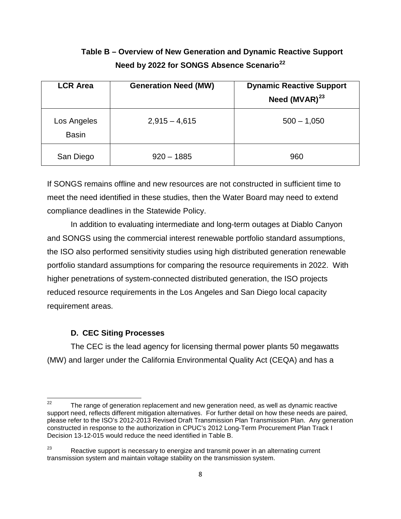# **Table B – Overview of New Generation and Dynamic Reactive Support Need by 2022 for SONGS Absence Scenario[22](#page-7-0)**

| <b>LCR Area</b>             | <b>Generation Need (MW)</b> | <b>Dynamic Reactive Support</b><br>Need $(MVAR)^{23}$ |
|-----------------------------|-----------------------------|-------------------------------------------------------|
| Los Angeles<br><b>Basin</b> | $2,915 - 4,615$             | $500 - 1,050$                                         |
| San Diego                   | $920 - 1885$                | 960                                                   |

If SONGS remains offline and new resources are not constructed in sufficient time to meet the need identified in these studies, then the Water Board may need to extend compliance deadlines in the Statewide Policy.

In addition to evaluating intermediate and long-term outages at Diablo Canyon and SONGS using the commercial interest renewable portfolio standard assumptions, the ISO also performed sensitivity studies using high distributed generation renewable portfolio standard assumptions for comparing the resource requirements in 2022. With higher penetrations of system-connected distributed generation, the ISO projects reduced resource requirements in the Los Angeles and San Diego local capacity requirement areas.

## **D. CEC Siting Processes**

The CEC is the lead agency for licensing thermal power plants 50 megawatts (MW) and larger under the California Environmental Quality Act (CEQA) and has a

<span id="page-7-0"></span> $22$  The range of generation replacement and new generation need, as well as dynamic reactive support need, reflects different mitigation alternatives. For further detail on how these needs are paired, please refer to the ISO's 2012-2013 Revised Draft Transmission Plan Transmission Plan. Any generation constructed in response to the authorization in CPUC's 2012 Long-Term Procurement Plan Track I Decision 13-12-015 would reduce the need identified in Table B.

<span id="page-7-1"></span><sup>&</sup>lt;sup>23</sup> Reactive support is necessary to energize and transmit power in an alternating current transmission system and maintain voltage stability on the transmission system.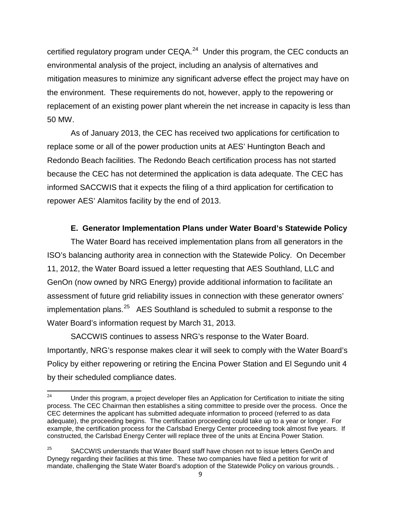certified regulatory program under  $CEQA<sup>24</sup>$  $CEQA<sup>24</sup>$  $CEQA<sup>24</sup>$  Under this program, the CEC conducts an environmental analysis of the project, including an analysis of alternatives and mitigation measures to minimize any significant adverse effect the project may have on the environment. These requirements do not, however, apply to the repowering or replacement of an existing power plant wherein the net increase in capacity is less than 50 MW.

As of January 2013, the CEC has received two applications for certification to replace some or all of the power production units at AES' Huntington Beach and Redondo Beach facilities. The Redondo Beach certification process has not started because the CEC has not determined the application is data adequate. The CEC has informed SACCWIS that it expects the filing of a third application for certification to repower AES' Alamitos facility by the end of 2013.

## **E. Generator Implementation Plans under Water Board's Statewide Policy**

The Water Board has received implementation plans from all generators in the ISO's balancing authority area in connection with the Statewide Policy. On December 11, 2012, the Water Board issued a letter requesting that AES Southland, LLC and GenOn (now owned by NRG Energy) provide additional information to facilitate an assessment of future grid reliability issues in connection with these generator owners' implementation plans.<sup>[25](#page-8-1)</sup> AES Southland is scheduled to submit a response to the Water Board's information request by March 31, 2013.

SACCWIS continues to assess NRG's response to the Water Board. Importantly, NRG's response makes clear it will seek to comply with the Water Board's Policy by either repowering or retiring the Encina Power Station and El Segundo unit 4 by their scheduled compliance dates.

<span id="page-8-0"></span><sup>&</sup>lt;sup>24</sup> Under this program, a project developer files an Application for Certification to initiate the siting process. The CEC Chairman then establishes a siting committee to preside over the process. Once the CEC determines the applicant has submitted adequate information to proceed (referred to as data adequate), the proceeding begins. The certification proceeding could take up to a year or longer. For example, the certification process for the Carlsbad Energy Center proceeding took almost five years. If constructed, the Carlsbad Energy Center will replace three of the units at Encina Power Station.

<span id="page-8-1"></span><sup>&</sup>lt;sup>25</sup> SACCWIS understands that Water Board staff have chosen not to issue letters GenOn and Dynegy regarding their facilities at this time. These two companies have filed a petition for writ of mandate, challenging the State Water Board's adoption of the Statewide Policy on various grounds. .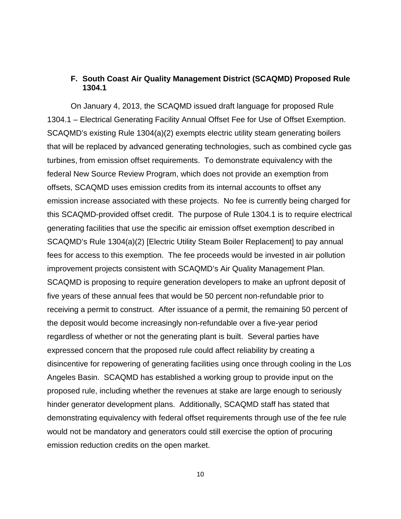## **F. South Coast Air Quality Management District (SCAQMD) Proposed Rule 1304.1**

On January 4, 2013, the SCAQMD issued draft language for proposed Rule 1304.1 – Electrical Generating Facility Annual Offset Fee for Use of Offset Exemption. SCAQMD's existing Rule 1304(a)(2) exempts electric utility steam generating boilers that will be replaced by advanced generating technologies, such as combined cycle gas turbines, from emission offset requirements. To demonstrate equivalency with the federal New Source Review Program, which does not provide an exemption from offsets, SCAQMD uses emission credits from its internal accounts to offset any emission increase associated with these projects. No fee is currently being charged for this SCAQMD-provided offset credit. The purpose of Rule 1304.1 is to require electrical generating facilities that use the specific air emission offset exemption described in SCAQMD's Rule 1304(a)(2) [Electric Utility Steam Boiler Replacement] to pay annual fees for access to this exemption. The fee proceeds would be invested in air pollution improvement projects consistent with SCAQMD's Air Quality Management Plan. SCAQMD is proposing to require generation developers to make an upfront deposit of five years of these annual fees that would be 50 percent non-refundable prior to receiving a permit to construct. After issuance of a permit, the remaining 50 percent of the deposit would become increasingly non-refundable over a five-year period regardless of whether or not the generating plant is built. Several parties have expressed concern that the proposed rule could affect reliability by creating a disincentive for repowering of generating facilities using once through cooling in the Los Angeles Basin. SCAQMD has established a working group to provide input on the proposed rule, including whether the revenues at stake are large enough to seriously hinder generator development plans. Additionally, SCAQMD staff has stated that demonstrating equivalency with federal offset requirements through use of the fee rule would not be mandatory and generators could still exercise the option of procuring emission reduction credits on the open market.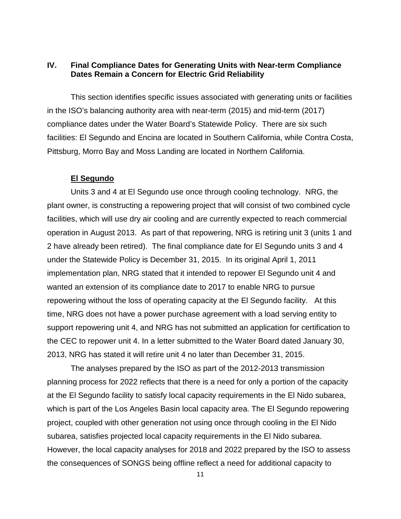# **IV. Final Compliance Dates for Generating Units with Near-term Compliance Dates Remain a Concern for Electric Grid Reliability**

This section identifies specific issues associated with generating units or facilities in the ISO's balancing authority area with near-term (2015) and mid-term (2017) compliance dates under the Water Board's Statewide Policy. There are six such facilities: El Segundo and Encina are located in Southern California, while Contra Costa, Pittsburg, Morro Bay and Moss Landing are located in Northern California.

## **El Segundo**

Units 3 and 4 at El Segundo use once through cooling technology. NRG, the plant owner, is constructing a repowering project that will consist of two combined cycle facilities, which will use dry air cooling and are currently expected to reach commercial operation in August 2013. As part of that repowering, NRG is retiring unit 3 (units 1 and 2 have already been retired). The final compliance date for El Segundo units 3 and 4 under the Statewide Policy is December 31, 2015. In its original April 1, 2011 implementation plan, NRG stated that it intended to repower El Segundo unit 4 and wanted an extension of its compliance date to 2017 to enable NRG to pursue repowering without the loss of operating capacity at the El Segundo facility. At this time, NRG does not have a power purchase agreement with a load serving entity to support repowering unit 4, and NRG has not submitted an application for certification to the CEC to repower unit 4. In a letter submitted to the Water Board dated January 30, 2013, NRG has stated it will retire unit 4 no later than December 31, 2015.

The analyses prepared by the ISO as part of the 2012-2013 transmission planning process for 2022 reflects that there is a need for only a portion of the capacity at the El Segundo facility to satisfy local capacity requirements in the El Nido subarea, which is part of the Los Angeles Basin local capacity area. The El Segundo repowering project, coupled with other generation not using once through cooling in the El Nido subarea, satisfies projected local capacity requirements in the El Nido subarea. However, the local capacity analyses for 2018 and 2022 prepared by the ISO to assess the consequences of SONGS being offline reflect a need for additional capacity to

11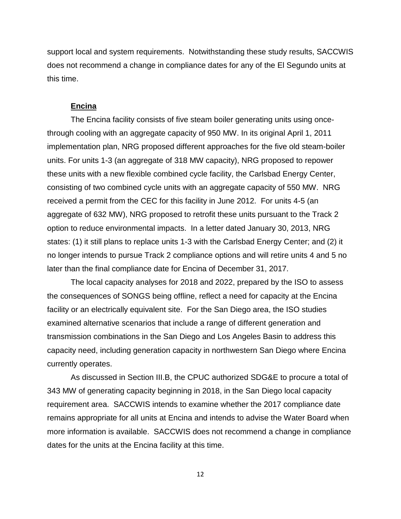support local and system requirements. Notwithstanding these study results, SACCWIS does not recommend a change in compliance dates for any of the El Segundo units at this time.

#### **Encina**

The Encina facility consists of five steam boiler generating units using oncethrough cooling with an aggregate capacity of 950 MW. In its original April 1, 2011 implementation plan, NRG proposed different approaches for the five old steam-boiler units. For units 1-3 (an aggregate of 318 MW capacity), NRG proposed to repower these units with a new flexible combined cycle facility, the Carlsbad Energy Center, consisting of two combined cycle units with an aggregate capacity of 550 MW. NRG received a permit from the CEC for this facility in June 2012. For units 4-5 (an aggregate of 632 MW), NRG proposed to retrofit these units pursuant to the Track 2 option to reduce environmental impacts. In a letter dated January 30, 2013, NRG states: (1) it still plans to replace units 1-3 with the Carlsbad Energy Center; and (2) it no longer intends to pursue Track 2 compliance options and will retire units 4 and 5 no later than the final compliance date for Encina of December 31, 2017.

The local capacity analyses for 2018 and 2022, prepared by the ISO to assess the consequences of SONGS being offline, reflect a need for capacity at the Encina facility or an electrically equivalent site. For the San Diego area, the ISO studies examined alternative scenarios that include a range of different generation and transmission combinations in the San Diego and Los Angeles Basin to address this capacity need, including generation capacity in northwestern San Diego where Encina currently operates.

As discussed in Section III.B, the CPUC authorized SDG&E to procure a total of 343 MW of generating capacity beginning in 2018, in the San Diego local capacity requirement area. SACCWIS intends to examine whether the 2017 compliance date remains appropriate for all units at Encina and intends to advise the Water Board when more information is available. SACCWIS does not recommend a change in compliance dates for the units at the Encina facility at this time.

12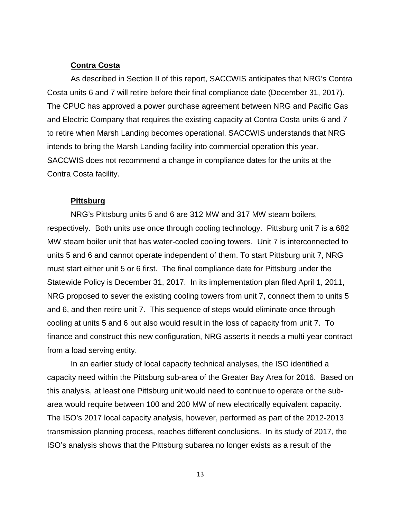## **Contra Costa**

As described in Section II of this report, SACCWIS anticipates that NRG's Contra Costa units 6 and 7 will retire before their final compliance date (December 31, 2017). The CPUC has approved a power purchase agreement between NRG and Pacific Gas and Electric Company that requires the existing capacity at Contra Costa units 6 and 7 to retire when Marsh Landing becomes operational. SACCWIS understands that NRG intends to bring the Marsh Landing facility into commercial operation this year. SACCWIS does not recommend a change in compliance dates for the units at the Contra Costa facility.

#### **Pittsburg**

NRG's Pittsburg units 5 and 6 are 312 MW and 317 MW steam boilers, respectively. Both units use once through cooling technology. Pittsburg unit 7 is a 682 MW steam boiler unit that has water-cooled cooling towers. Unit 7 is interconnected to units 5 and 6 and cannot operate independent of them. To start Pittsburg unit 7, NRG must start either unit 5 or 6 first. The final compliance date for Pittsburg under the Statewide Policy is December 31, 2017. In its implementation plan filed April 1, 2011, NRG proposed to sever the existing cooling towers from unit 7, connect them to units 5 and 6, and then retire unit 7. This sequence of steps would eliminate once through cooling at units 5 and 6 but also would result in the loss of capacity from unit 7. To finance and construct this new configuration, NRG asserts it needs a multi-year contract from a load serving entity.

In an earlier study of local capacity technical analyses, the ISO identified a capacity need within the Pittsburg sub-area of the Greater Bay Area for 2016. Based on this analysis, at least one Pittsburg unit would need to continue to operate or the subarea would require between 100 and 200 MW of new electrically equivalent capacity. The ISO's 2017 local capacity analysis, however, performed as part of the 2012-2013 transmission planning process, reaches different conclusions. In its study of 2017, the ISO's analysis shows that the Pittsburg subarea no longer exists as a result of the

13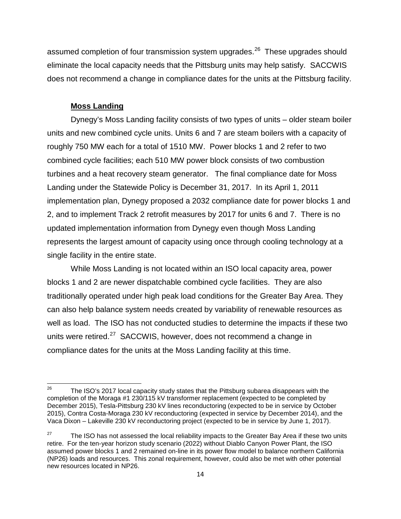assumed completion of four transmission system upgrades.<sup>26</sup> These upgrades should eliminate the local capacity needs that the Pittsburg units may help satisfy. SACCWIS does not recommend a change in compliance dates for the units at the Pittsburg facility.

## **Moss Landing**

Dynegy's Moss Landing facility consists of two types of units – older steam boiler units and new combined cycle units. Units 6 and 7 are steam boilers with a capacity of roughly 750 MW each for a total of 1510 MW. Power blocks 1 and 2 refer to two combined cycle facilities; each 510 MW power block consists of two combustion turbines and a heat recovery steam generator. The final compliance date for Moss Landing under the Statewide Policy is December 31, 2017. In its April 1, 2011 implementation plan, Dynegy proposed a 2032 compliance date for power blocks 1 and 2, and to implement Track 2 retrofit measures by 2017 for units 6 and 7. There is no updated implementation information from Dynegy even though Moss Landing represents the largest amount of capacity using once through cooling technology at a single facility in the entire state.

While Moss Landing is not located within an ISO local capacity area, power blocks 1 and 2 are newer dispatchable combined cycle facilities. They are also traditionally operated under high peak load conditions for the Greater Bay Area. They can also help balance system needs created by variability of renewable resources as well as load. The ISO has not conducted studies to determine the impacts if these two units were retired.<sup>[27](#page-13-1)</sup> SACCWIS, however, does not recommend a change in compliance dates for the units at the Moss Landing facility at this time.

<span id="page-13-0"></span><sup>&</sup>lt;sup>26</sup> The ISO's 2017 local capacity study states that the Pittsburg subarea disappears with the completion of the Moraga #1 230/115 kV transformer replacement (expected to be completed by December 2015), Tesla-Pittsburg 230 kV lines reconductoring (expected to be in service by October 2015), Contra Costa-Moraga 230 kV reconductoring (expected in service by December 2014), and the Vaca Dixon – Lakeville 230 kV reconductoring project (expected to be in service by June 1, 2017).

<span id="page-13-1"></span> $27$  The ISO has not assessed the local reliability impacts to the Greater Bay Area if these two units retire. For the ten-year horizon study scenario (2022) without Diablo Canyon Power Plant, the ISO assumed power blocks 1 and 2 remained on-line in its power flow model to balance northern California (NP26) loads and resources. This zonal requirement, however, could also be met with other potential new resources located in NP26.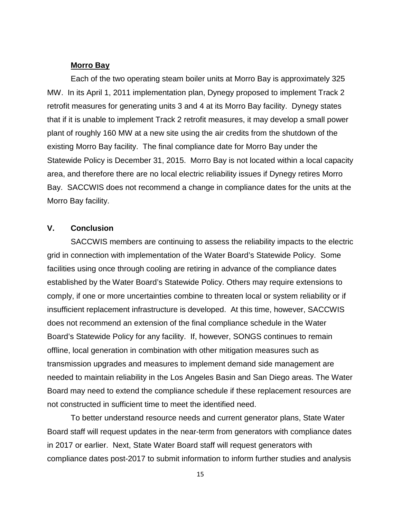## **Morro Bay**

Each of the two operating steam boiler units at Morro Bay is approximately 325 MW. In its April 1, 2011 implementation plan, Dynegy proposed to implement Track 2 retrofit measures for generating units 3 and 4 at its Morro Bay facility. Dynegy states that if it is unable to implement Track 2 retrofit measures, it may develop a small power plant of roughly 160 MW at a new site using the air credits from the shutdown of the existing Morro Bay facility. The final compliance date for Morro Bay under the Statewide Policy is December 31, 2015. Morro Bay is not located within a local capacity area, and therefore there are no local electric reliability issues if Dynegy retires Morro Bay. SACCWIS does not recommend a change in compliance dates for the units at the Morro Bay facility.

## **V. Conclusion**

SACCWIS members are continuing to assess the reliability impacts to the electric grid in connection with implementation of the Water Board's Statewide Policy. Some facilities using once through cooling are retiring in advance of the compliance dates established by the Water Board's Statewide Policy. Others may require extensions to comply, if one or more uncertainties combine to threaten local or system reliability or if insufficient replacement infrastructure is developed. At this time, however, SACCWIS does not recommend an extension of the final compliance schedule in the Water Board's Statewide Policy for any facility. If, however, SONGS continues to remain offline, local generation in combination with other mitigation measures such as transmission upgrades and measures to implement demand side management are needed to maintain reliability in the Los Angeles Basin and San Diego areas. The Water Board may need to extend the compliance schedule if these replacement resources are not constructed in sufficient time to meet the identified need.

To better understand resource needs and current generator plans, State Water Board staff will request updates in the near-term from generators with compliance dates in 2017 or earlier. Next, State Water Board staff will request generators with compliance dates post-2017 to submit information to inform further studies and analysis